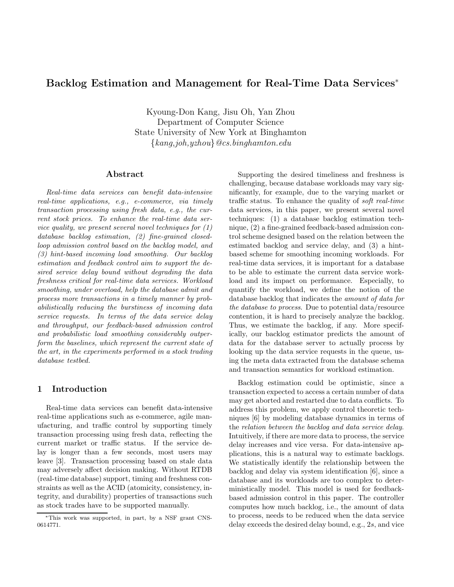# Backlog Estimation and Management for Real-Time Data Services<sup>∗</sup>

Kyoung-Don Kang, Jisu Oh, Yan Zhou Department of Computer Science State University of New York at Binghamton {kang,joh,yzhou}@cs.binghamton.edu

#### Abstract

Real-time data services can benefit data-intensive real-time applications, e.g., e-commerce, via timely transaction processing using fresh data, e.g., the current stock prices. To enhance the real-time data service quality, we present several novel techniques for (1) database backlog estimation, (2) fine-grained closedloop admission control based on the backlog model, and (3) hint-based incoming load smoothing. Our backlog estimation and feedback control aim to support the desired service delay bound without degrading the data freshness critical for real-time data services. Workload smoothing, under overload, help the database admit and process more transactions in a timely manner by probabilistically reducing the burstiness of incoming data service requests. In terms of the data service delay and throughput, our feedback-based admission control and probabilistic load smoothing considerably outperform the baselines, which represent the current state of the art, in the experiments performed in a stock trading database testbed.

### 1 Introduction

Real-time data services can benefit data-intensive real-time applications such as e-commerce, agile manufacturing, and traffic control by supporting timely transaction processing using fresh data, reflecting the current market or traffic status. If the service delay is longer than a few seconds, most users may leave [3]. Transaction processing based on stale data may adversely affect decision making. Without RTDB (real-time database) support, timing and freshness constraints as well as the ACID (atomicity, consistency, integrity, and durability) properties of transactions such as stock trades have to be supported manually.

Supporting the desired timeliness and freshness is challenging, because database workloads may vary significantly, for example, due to the varying market or traffic status. To enhance the quality of soft real-time data services, in this paper, we present several novel techniques: (1) a database backlog estimation technique, (2) a fine-grained feedback-based admission control scheme designed based on the relation between the estimated backlog and service delay, and (3) a hintbased scheme for smoothing incoming workloads. For real-time data services, it is important for a database to be able to estimate the current data service workload and its impact on performance. Especially, to quantify the workload, we define the notion of the database backlog that indicates the amount of data for the database to process. Due to potential data/resource contention, it is hard to precisely analyze the backlog. Thus, we estimate the backlog, if any. More specifically, our backlog estimator predicts the amount of data for the database server to actually process by looking up the data service requests in the queue, using the meta data extracted from the database schema and transaction semantics for workload estimation.

Backlog estimation could be optimistic, since a transaction expected to access a certain number of data may get aborted and restarted due to data conflicts. To address this problem, we apply control theoretic techniques [6] by modeling database dynamics in terms of the relation between the backlog and data service delay. Intuitively, if there are more data to process, the service delay increases and vice versa. For data-intensive applications, this is a natural way to estimate backlogs. We statistically identify the relationship between the backlog and delay via system identification [6], since a database and its workloads are too complex to deterministically model. This model is used for feedbackbased admission control in this paper. The controller computes how much backlog, i.e., the amount of data to process, needs to be reduced when the data service delay exceeds the desired delay bound, e.g., 2s, and vice

<sup>∗</sup>This work was supported, in part, by a NSF grant CNS-0614771.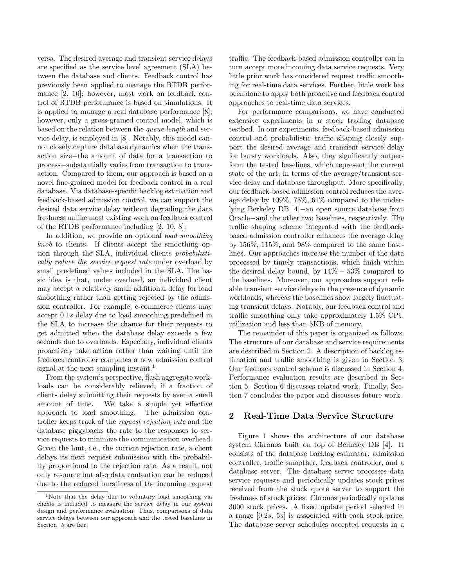versa. The desired average and transient service delays are specified as the service level agreement (SLA) between the database and clients. Feedback control has previously been applied to manage the RTDB performance [2, 10]; however, most work on feedback control of RTDB performance is based on simulations. It is applied to manage a real database performance [8]; however, only a gross-grained control model, which is based on the relation between the queue length and service delay, is employed in [8]. Notably, this model cannot closely capture database dynamics when the transaction size−the amount of data for a transaction to process−substantially varies from transaction to transaction. Compared to them, our approach is based on a novel fine-grained model for feedback control in a real database. Via database-specific backlog estimation and feedback-based admission control, we can support the desired data service delay without degrading the data freshness unlike most existing work on feedback control of the RTDB performance including [2, 10, 8].

In addition, we provide an optional *load smoothing* knob to clients. If clients accept the smoothing option through the SLA, individual clients probabilistically reduce the service request rate under overload by small predefined values included in the SLA. The basic idea is that, under overload, an individual client may accept a relatively small additional delay for load smoothing rather than getting rejected by the admission controller. For example, e-commerce clients may accept 0.1s delay due to load smoothing predefined in the SLA to increase the chance for their requests to get admitted when the database delay exceeds a few seconds due to overloads. Especially, individual clients proactively take action rather than waiting until the feedback controller computes a new admission control signal at the next sampling instant.<sup>1</sup>

From the system's perspective, flash aggregate workloads can be considerably relieved, if a fraction of clients delay submitting their requests by even a small amount of time. We take a simple yet effective approach to load smoothing. The admission controller keeps track of the request rejection rate and the database piggybacks the rate to the responses to service requests to minimize the communication overhead. Given the hint, i.e., the current rejection rate, a client delays its next request submission with the probability proportional to the rejection rate. As a result, not only resource but also data contention can be reduced due to the reduced burstiness of the incoming request

traffic. The feedback-based admission controller can in turn accept more incoming data service requests. Very little prior work has considered request traffic smoothing for real-time data services. Further, little work has been done to apply both proactive and feedback control approaches to real-time data services.

For performance comparisons, we have conducted extensive experiments in a stock trading database testbed. In our experiments, feedback-based admission control and probabilistic traffic shaping closely support the desired average and transient service delay for bursty workloads. Also, they significantly outperform the tested baselines, which represent the current state of the art, in terms of the average/transient service delay and database throughput. More specifically, our feedback-based admission control reduces the average delay by 109%, 75%, 61% compared to the underlying Berkeley DB [4]−an open source database from Oracle−and the other two baselines, respectively. The traffic shaping scheme integrated with the feedbackbased admission controller enhances the average delay by 156%, 115%, and 98% compared to the same baselines. Our approaches increase the number of the data processed by timely transactions, which finish within the desired delay bound, by  $14\% - 53\%$  compared to the baselines. Moreover, our approaches support reliable transient service delays in the presence of dynamic workloads, whereas the baselines show largely fluctuating transient delays. Notably, our feedback control and traffic smoothing only take approximately 1.5% CPU utilization and less than 5KB of memory.

The remainder of this paper is organized as follows. The structure of our database and service requirements are described in Section 2. A description of backlog estimation and traffic smoothing is given in Section 3. Our feedback control scheme is discussed in Section 4. Performance evaluation results are described in Section 5. Section 6 discusses related work. Finally, Section 7 concludes the paper and discusses future work.

### 2 Real-Time Data Service Structure

Figure 1 shows the architecture of our database system Chronos built on top of Berkeley DB [4]. It consists of the database backlog estimator, admission controller, traffic smoother, feedback controller, and a database server. The database server processes data service requests and periodically updates stock prices received from the stock quote server to support the freshness of stock prices. Chronos periodically updates 3000 stock prices. A fixed update period selected in a range [0.2s, 5s] is associated with each stock price. The database server schedules accepted requests in a

<sup>&</sup>lt;sup>1</sup>Note that the delay due to voluntary load smoothing via clients is included to measure the service delay in our system design and performance evaluation. Thus, comparisons of data service delays between our approach and the tested baselines in Section 5 are fair.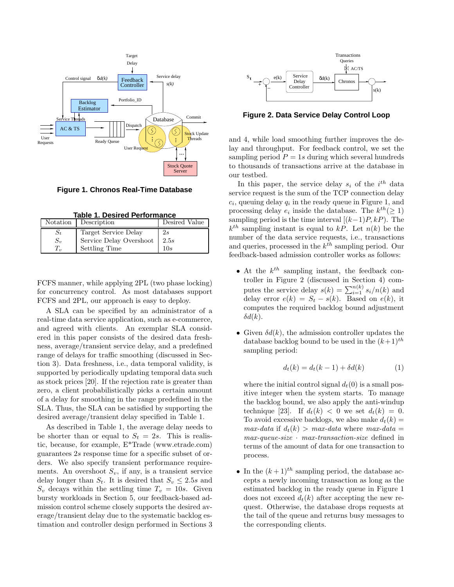

**Figure 1. Chronos Real-Time Database**

| Taple 1. Desired Performance |                         |               |
|------------------------------|-------------------------|---------------|
| Notation                     | Description             | Desired Value |
| $S_t$                        | Target Service Delay    | 2s            |
| $S_{v}$                      | Service Delay Overshoot | 2.5s          |
|                              | <b>Settling Time</b>    | 10s           |

**Table 1. Desired Performance**

FCFS manner, while applying 2PL (two phase locking) for concurrency control. As most databases support FCFS and 2PL, our approach is easy to deploy.

A SLA can be specified by an administrator of a real-time data service application, such as e-commerce, and agreed with clients. An exemplar SLA considered in this paper consists of the desired data freshness, average/transient service delay, and a predefined range of delays for traffic smoothing (discussed in Section 3). Data freshness, i.e., data temporal validity, is supported by periodically updating temporal data such as stock prices [20]. If the rejection rate is greater than zero, a client probabilistically picks a certain amount of a delay for smoothing in the range predefined in the SLA. Thus, the SLA can be satisfied by supporting the desired average/transient delay specified in Table 1.

As described in Table 1, the average delay needs to be shorter than or equal to  $S_t = 2s$ . This is realistic, because, for example, E\*Trade (www.etrade.com) guarantees 2s response time for a specific subset of orders. We also specify transient performance requirements. An overshoot  $S_v$ , if any, is a transient service delay longer than  $S_t$ . It is desired that  $S_v \leq 2.5s$  and  $S_v$  decays within the settling time  $T_v = 10s$ . Given bursty workloads in Section 5, our feedback-based admission control scheme closely supports the desired average/transient delay due to the systematic backlog estimation and controller design performed in Sections 3



**Figure 2. Data Service Delay Control Loop**

and 4, while load smoothing further improves the delay and throughput. For feedback control, we set the sampling period  $P = 1s$  during which several hundreds to thousands of transactions arrive at the database in our testbed.

In this paper, the service delay  $s_i$  of the  $i^{th}$  data service request is the sum of the TCP connection delay  $c_i$ , queuing delay  $q_i$  in the ready queue in Figure 1, and processing delay  $e_i$  inside the database. The  $k^{th} (\geq 1)$ sampling period is the time interval  $[(k-1)P, kP)$ . The  $k^{th}$  sampling instant is equal to kP. Let  $n(k)$  be the number of the data service requests, i.e., transactions and queries, processed in the  $k^{th}$  sampling period. Our feedback-based admission controller works as follows:

- At the  $k^{th}$  sampling instant, the feedback controller in Figure 2 (discussed in Section 4) computes the service delay  $s(k) = \sum_{i=1}^{n(k)} s_i/n(k)$  and delay error  $e(k) = S_t - s(k)$ . Based on  $e(k)$ , it computes the required backlog bound adjustment  $\delta d(k)$ .
- Given  $\delta d(k)$ , the admission controller updates the database backlog bound to be used in the  $(k+1)$ <sup>th</sup> sampling period:

$$
d_t(k) = d_t(k-1) + \delta d(k)
$$
 (1)

where the initial control signal  $d_t(0)$  is a small positive integer when the system starts. To manage the backlog bound, we also apply the anti-windup technique [23]. If  $d_t(k) < 0$  we set  $d_t(k) = 0$ . To avoid excessive backlogs, we also make  $d_t(k) =$ max-data if  $d_t(k) > max\text{-}data$  where  $max\text{-}data =$  $max-queue-size \cdot max-transaction-size \cdot defined \text{ in }$ terms of the amount of data for one transaction to process.

• In the  $(k+1)^{th}$  sampling period, the database accepts a newly incoming transaction as long as the estimated backlog in the ready queue in Figure 1 does not exceed  $d_t(k)$  after accepting the new request. Otherwise, the database drops requests at the tail of the queue and returns busy messages to the corresponding clients.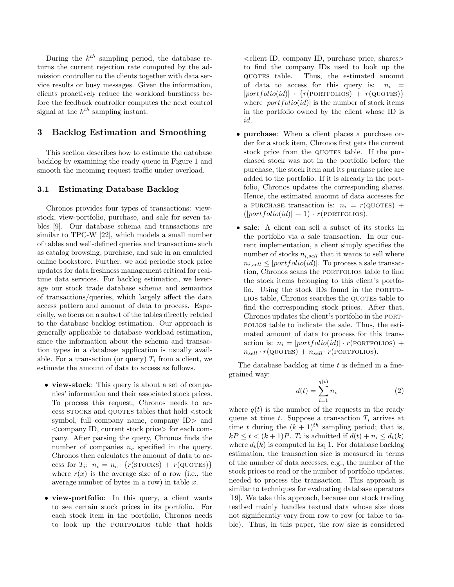During the  $k^{th}$  sampling period, the database returns the current rejection rate computed by the admission controller to the clients together with data service results or busy messages. Given the information, clients proactively reduce the workload burstiness before the feedback controller computes the next control signal at the  $k^{th}$  sampling instant.

### 3 Backlog Estimation and Smoothing

This section describes how to estimate the database backlog by examining the ready queue in Figure 1 and smooth the incoming request traffic under overload.

#### 3.1 Estimating Database Backlog

Chronos provides four types of transactions: viewstock, view-portfolio, purchase, and sale for seven tables [9]. Our database schema and transactions are similar to TPC-W [22], which models a small number of tables and well-defined queries and transactions such as catalog browsing, purchase, and sale in an emulated online bookstore. Further, we add periodic stock price updates for data freshness management critical for realtime data services. For backlog estimation, we leverage our stock trade database schema and semantics of transactions/queries, which largely affect the data access pattern and amount of data to process. Especially, we focus on a subset of the tables directly related to the database backlog estimation. Our approach is generally applicable to database workload estimation, since the information about the schema and transaction types in a database application is usually available. For a transaction (or query)  $T_i$  from a client, we estimate the amount of data to access as follows.

- view-stock: This query is about a set of companies' information and their associated stock prices. To process this request, Chronos needs to access stocks and quotes tables that hold  $<$  stock symbol, full company name, company ID> and <company ID, current stock price> for each company. After parsing the query, Chronos finds the number of companies  $n_c$  specified in the query. Chronos then calculates the amount of data to access for  $T_i$ :  $n_i = n_c \cdot \{r(\text{STOCKS}) + r(\text{QUOTES})\}$ where  $r(x)$  is the average size of a row (i.e., the average number of bytes in a row) in table  $x$ .
- view-portfolio: In this query, a client wants to see certain stock prices in its portfolio. For each stock item in the portfolio, Chronos needs to look up the PORTFOLIOS table that holds

 $\leq$ client ID, company ID, purchase price, shares to find the company IDs used to look up the quotes table. Thus, the estimated amount of data to access for this query is:  $n_i$  =  $|portfolio(id)| \cdot \{r(PORTFOLIOS) + r(QUOTES)\}\$ where  $|portfolio(id)|$  is the number of stock items in the portfolio owned by the client whose ID is id.

- purchase: When a client places a purchase order for a stock item, Chronos first gets the current stock price from the QUOTES table. If the purchased stock was not in the portfolio before the purchase, the stock item and its purchase price are added to the portfolio. If it is already in the portfolio, Chronos updates the corresponding shares. Hence, the estimated amount of data accesses for a PURCHASE transaction is:  $n_i = r(\text{QUOTES}) +$  $(|portfolio(id)| + 1) \cdot r(PORTFOLIOS).$
- sale: A client can sell a subset of its stocks in the portfolio via a sale transaction. In our current implementation, a client simply specifies the number of stocks  $n_{i,sell}$  that it wants to sell where  $n_{i,sell} \leq |portfolio(id)|$ . To process a sale transaction, Chronos scans the PORTFOLIOS table to find the stock items belonging to this client's portfolio. Using the stock IDs found in the PORTFO-LIOS table, Chronos searches the QUOTES table to find the corresponding stock prices. After that, Chronos updates the client's portfolio in the portfolios table to indicate the sale. Thus, the estimated amount of data to process for this transaction is:  $n_i = |portfolio(id)| \cdot r(PORTFOLIOS) +$  $n_{sell} \cdot r(\text{QUOTES}) + n_{sell} \cdot r(\text{PORTFOLIOS}).$

The database backlog at time  $t$  is defined in a finegrained way:

$$
d(t) = \sum_{i=1}^{q(t)} n_i
$$
 (2)

where  $q(t)$  is the number of the requests in the ready queue at time t. Suppose a transaction  $T_i$  arrives at time t during the  $(k + 1)^{th}$  sampling period; that is,  $kP \leq t < (k+1)P$ .  $T_i$  is admitted if  $d(t) + n_i \leq d_t(k)$ where  $d_t(k)$  is computed in Eq 1. For database backlog estimation, the transaction size is measured in terms of the number of data accesses, e.g., the number of the stock prices to read or the number of portfolio updates, needed to process the transaction. This approach is similar to techniques for evaluating database operators [19]. We take this approach, because our stock trading testbed mainly handles textual data whose size does not significantly vary from row to row (or table to table). Thus, in this paper, the row size is considered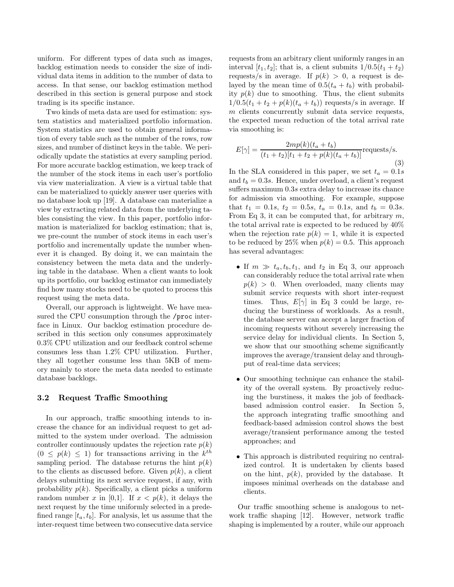uniform. For different types of data such as images, backlog estimation needs to consider the size of individual data items in addition to the number of data to access. In that sense, our backlog estimation method described in this section is general purpose and stock trading is its specific instance.

Two kinds of meta data are used for estimation: system statistics and materialized portfolio information. System statistics are used to obtain general information of every table such as the number of the rows, row sizes, and number of distinct keys in the table. We periodically update the statistics at every sampling period. For more accurate backlog estimation, we keep track of the number of the stock items in each user's portfolio via view materialization. A view is a virtual table that can be materialized to quickly answer user queries with no database look up [19]. A database can materialize a view by extracting related data from the underlying tables consisting the view. In this paper, portfolio information is materialized for backlog estimation; that is, we pre-count the number of stock items in each user's portfolio and incrementally update the number whenever it is changed. By doing it, we can maintain the consistency between the meta data and the underlying table in the database. When a client wants to look up its portfolio, our backlog estimator can immediately find how many stocks need to be quoted to process this request using the meta data.

Overall, our approach is lightweight. We have measured the CPU consumption through the /proc interface in Linux. Our backlog estimation procedure described in this section only consumes approximately 0.3% CPU utilization and our feedback control scheme consumes less than 1.2% CPU utilization. Further, they all together consume less than 5KB of memory mainly to store the meta data needed to estimate database backlogs.

#### 3.2 Request Traffic Smoothing

In our approach, traffic smoothing intends to increase the chance for an individual request to get admitted to the system under overload. The admission controller continuously updates the rejection rate  $p(k)$  $(0 \leq p(k) \leq 1)$  for transactions arriving in the  $k^{th}$ sampling period. The database returns the hint  $p(k)$ to the clients as discussed before. Given  $p(k)$ , a client delays submitting its next service request, if any, with probability  $p(k)$ . Specifically, a client picks a uniform random number x in [0,1]. If  $x < p(k)$ , it delays the next request by the time uniformly selected in a predefined range  $[t_a, t_b]$ . For analysis, let us assume that the inter-request time between two consecutive data service requests from an arbitrary client uniformly ranges in an interval  $[t_1, t_2]$ ; that is, a client submits  $1/0.5(t_1 + t_2)$ requests/s in average. If  $p(k) > 0$ , a request is delayed by the mean time of  $0.5(t_a + t_b)$  with probability  $p(k)$  due to smoothing. Thus, the client submits  $1/0.5(t_1 + t_2 + p(k)(t_a + t_b))$  requests/s in average. If m clients concurrently submit data service requests, the expected mean reduction of the total arrival rate via smoothing is:

$$
E[\gamma] = \frac{2mp(k)(t_a + t_b)}{(t_1 + t_2)[t_1 + t_2 + p(k)(t_a + t_b)]}
$$
 requests/s. (3)

In the SLA considered in this paper, we set  $t_a = 0.1s$ and  $t_b = 0.3s$ . Hence, under overload, a client's request suffers maximum 0.3s extra delay to increase its chance for admission via smoothing. For example, suppose that  $t_1 = 0.1s$ ,  $t_2 = 0.5s$ ,  $t_a = 0.1s$ , and  $t_b = 0.3s$ . From Eq 3, it can be computed that, for arbitrary  $m$ , the total arrival rate is expected to be reduced by 40% when the rejection rate  $p(k) = 1$ , while it is expected to be reduced by 25% when  $p(k) = 0.5$ . This approach has several advantages:

- If  $m \gg t_a, t_b, t_1$ , and  $t_2$  in Eq 3, our approach can considerably reduce the total arrival rate when  $p(k) > 0$ . When overloaded, many clients may submit service requests with short inter-request times. Thus,  $E[\gamma]$  in Eq 3 could be large, reducing the burstiness of workloads. As a result, the database server can accept a larger fraction of incoming requests without severely increasing the service delay for individual clients. In Section 5, we show that our smoothing scheme significantly improves the average/transient delay and throughput of real-time data services;
- Our smoothing technique can enhance the stability of the overall system. By proactively reducing the burstiness, it makes the job of feedbackbased admission control easier. In Section 5, the approach integrating traffic smoothing and feedback-based admission control shows the best average/transient performance among the tested approaches; and
- This approach is distributed requiring no centralized control. It is undertaken by clients based on the hint,  $p(k)$ , provided by the database. It imposes minimal overheads on the database and clients.

Our traffic smoothing scheme is analogous to network traffic shaping [12]. However, network traffic shaping is implemented by a router, while our approach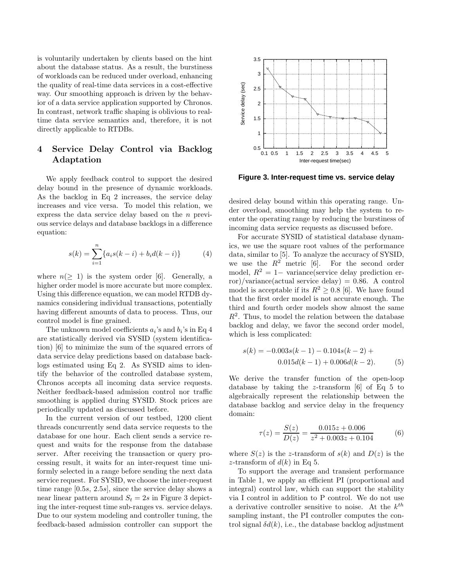is voluntarily undertaken by clients based on the hint about the database status. As a result, the burstiness of workloads can be reduced under overload, enhancing the quality of real-time data services in a cost-effective way. Our smoothing approach is driven by the behavior of a data service application supported by Chronos. In contrast, network traffic shaping is oblivious to realtime data service semantics and, therefore, it is not directly applicable to RTDBs.

## 4 Service Delay Control via Backlog Adaptation

We apply feedback control to support the desired delay bound in the presence of dynamic workloads. As the backlog in Eq 2 increases, the service delay increases and vice versa. To model this relation, we express the data service delay based on the n previous service delays and database backlogs in a difference equation:

$$
s(k) = \sum_{i=1}^{n} \{a_i s(k-i) + b_i d(k-i)\}
$$
 (4)

where  $n(\geq 1)$  is the system order [6]. Generally, a higher order model is more accurate but more complex. Using this difference equation, we can model RTDB dynamics considering individual transactions, potentially having different amounts of data to process. Thus, our control model is fine grained.

The unknown model coefficients  $a_i$ 's and  $b_i$ 's in Eq 4 are statistically derived via SYSID (system identification) [6] to minimize the sum of the squared errors of data service delay predictions based on database backlogs estimated using Eq 2. As SYSID aims to identify the behavior of the controlled database system, Chronos accepts all incoming data service requests. Neither feedback-based admission control nor traffic smoothing is applied during SYSID. Stock prices are periodically updated as discussed before.

In the current version of our testbed, 1200 client threads concurrently send data service requests to the database for one hour. Each client sends a service request and waits for the response from the database server. After receiving the transaction or query processing result, it waits for an inter-request time uniformly selected in a range before sending the next data service request. For SYSID, we choose the inter-request time range [0.5s, 2.5s], since the service delay shows a near linear pattern around  $S_t = 2s$  in Figure 3 depicting the inter-request time sub-ranges vs. service delays. Due to our system modeling and controller tuning, the feedback-based admission controller can support the



**Figure 3. Inter-request time vs. service delay**

desired delay bound within this operating range. Under overload, smoothing may help the system to reenter the operating range by reducing the burstiness of incoming data service requests as discussed before.

For accurate SYSID of statistical database dynamics, we use the square root values of the performance data, similar to [5]. To analyze the accuracy of SYSID, we use the  $R^2$  metric [6]. For the second order model,  $R^2 = 1-$  variance(service delay prediction error)/variance(actual service delay) =  $0.86$ . A control model is acceptable if its  $R^2 \geq 0.8$  [6]. We have found that the first order model is not accurate enough. The third and fourth order models show almost the same  $R<sup>2</sup>$ . Thus, to model the relation between the database backlog and delay, we favor the second order model, which is less complicated:

$$
s(k) = -0.003s(k-1) - 0.104s(k-2) +
$$
  
0.015d(k-1) + 0.006d(k-2). (5)

We derive the transfer function of the open-loop database by taking the z-transform  $[6]$  of Eq 5 to algebraically represent the relationship between the database backlog and service delay in the frequency domain:

$$
\tau(z) = \frac{S(z)}{D(z)} = \frac{0.015z + 0.006}{z^2 + 0.003z + 0.104}
$$
(6)

where  $S(z)$  is the z-transform of  $s(k)$  and  $D(z)$  is the z-transform of  $d(k)$  in Eq 5.

To support the average and transient performance in Table 1, we apply an efficient PI (proportional and integral) control law, which can support the stability via I control in addition to P control. We do not use a derivative controller sensitive to noise. At the  $k^{th}$ sampling instant, the PI controller computes the control signal  $\delta d(k)$ , i.e., the database backlog adjustment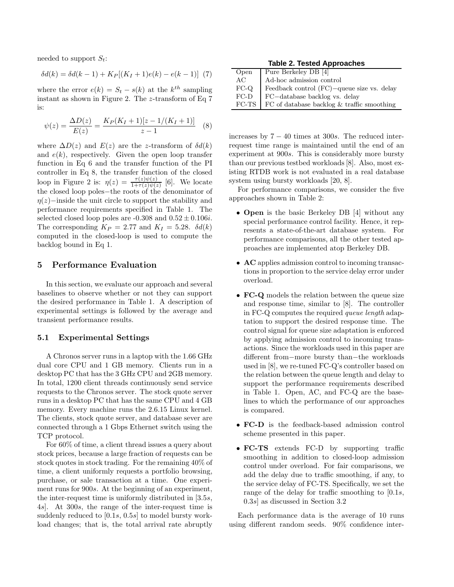needed to support  $S_t$ :

$$
\delta d(k) = \delta d(k-1) + K_P[(K_I + 1)e(k) - e(k-1)] \tag{7}
$$

where the error  $e(k) = S_t - s(k)$  at the  $k^{th}$  sampling instant as shown in Figure 2. The z-transform of Eq 7 is:

$$
\psi(z) = \frac{\Delta D(z)}{E(z)} = \frac{K_P(K_I + 1)[z - 1/(K_I + 1)]}{z - 1} \tag{8}
$$

where  $\Delta D(z)$  and  $E(z)$  are the z-transform of  $\delta d(k)$ and  $e(k)$ , respectively. Given the open loop transfer function in Eq 6 and the transfer function of the PI controller in Eq 8, the transfer function of the closed loop in Figure 2 is:  $\eta(z) = \frac{\tau(z)\psi(z)}{1+\tau(z)\psi(z)}$  [6]. We locate the closed loop poles−the roots of the denominator of  $\eta(z)$ −inside the unit circle to support the stability and performance requirements specified in Table 1. The selected closed loop poles are  $-0.308$  and  $0.52 \pm 0.106i$ . The corresponding  $K_P = 2.77$  and  $K_I = 5.28$ .  $\delta d(k)$ computed in the closed-loop is used to compute the backlog bound in Eq 1.

### 5 Performance Evaluation

In this section, we evaluate our approach and several baselines to observe whether or not they can support the desired performance in Table 1. A description of experimental settings is followed by the average and transient performance results.

#### 5.1 Experimental Settings

A Chronos server runs in a laptop with the 1.66 GHz dual core CPU and 1 GB memory. Clients run in a desktop PC that has the 3 GHz CPU and 2GB memory. In total, 1200 client threads continuously send service requests to the Chronos server. The stock quote server runs in a desktop PC that has the same CPU and 4 GB memory. Every machine runs the 2.6.15 Linux kernel. The clients, stock quote server, and database sever are connected through a 1 Gbps Ethernet switch using the TCP protocol.

For 60% of time, a client thread issues a query about stock prices, because a large fraction of requests can be stock quotes in stock trading. For the remaining 40% of time, a client uniformly requests a portfolio browsing, purchase, or sale transaction at a time. One experiment runs for 900s. At the beginning of an experiment, the inter-request time is uniformly distributed in [3.5s, 4s]. At 300s, the range of the inter-request time is suddenly reduced to [0.1s, 0.5s] to model bursty workload changes; that is, the total arrival rate abruptly

**Table 2. Tested Approaches**

| Open   | Pure Berkeley DB [4]                                   |
|--------|--------------------------------------------------------|
| AC     | Ad-hoc admission control                               |
| $FC-O$ | Feedback control $(FC)$ –queue size vs. delay          |
| $FC-D$ | FC-database backlog vs. delay                          |
|        | $FC-TS$   $FC$ of database backlog & traffic smoothing |

increases by  $7 - 40$  times at 300s. The reduced interrequest time range is maintained until the end of an experiment at 900s. This is considerably more bursty than our previous testbed workloads [8]. Also, most existing RTDB work is not evaluated in a real database system using bursty workloads [20, 8].

For performance comparisons, we consider the five approaches shown in Table 2:

- **Open** is the basic Berkeley DB [4] without any special performance control facility. Hence, it represents a state-of-the-art database system. For performance comparisons, all the other tested approaches are implemented atop Berkeley DB.
- AC applies admission control to incoming transactions in proportion to the service delay error under overload.
- FC-Q models the relation between the queue size and response time, similar to [8]. The controller in FC-Q computes the required queue length adaptation to support the desired response time. The control signal for queue size adaptation is enforced by applying admission control to incoming transactions. Since the workloads used in this paper are different from−more bursty than−the workloads used in [8], we re-tuned FC-Q's controller based on the relation between the queue length and delay to support the performance requirements described in Table 1. Open, AC, and FC-Q are the baselines to which the performance of our approaches is compared.
- FC-D is the feedback-based admission control scheme presented in this paper.
- FC-TS extends FC-D by supporting traffic smoothing in addition to closed-loop admission control under overload. For fair comparisons, we add the delay due to traffic smoothing, if any, to the service delay of FC-TS. Specifically, we set the range of the delay for traffic smoothing to [0.1s, 0.3s] as discussed in Section 3.2

Each performance data is the average of 10 runs using different random seeds. 90% confidence inter-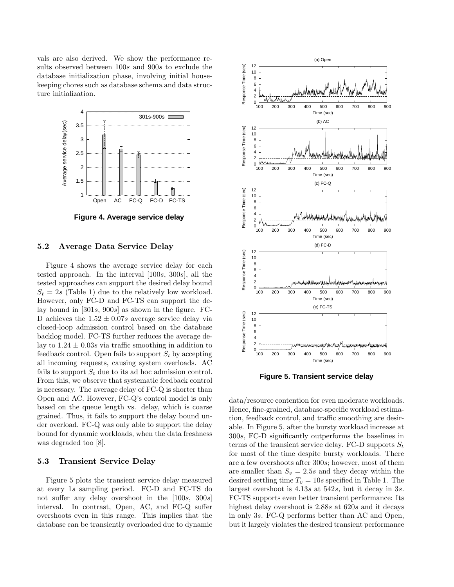vals are also derived. We show the performance results observed between 100s and 900s to exclude the database initialization phase, involving initial housekeeping chores such as database schema and data structure initialization.



**Figure 4. Average service delay**

#### 5.2 Average Data Service Delay

Figure 4 shows the average service delay for each tested approach. In the interval [100s, 300s], all the tested approaches can support the desired delay bound  $S_t = 2s$  (Table 1) due to the relatively low workload. However, only FC-D and FC-TS can support the delay bound in  $[301s, 900s]$  as shown in the figure. FC-D achieves the  $1.52 \pm 0.07s$  average service delay via closed-loop admission control based on the database backlog model. FC-TS further reduces the average delay to  $1.24 \pm 0.03$  via traffic smoothing in addition to feedback control. Open fails to support  $S_t$  by accepting all incoming requests, causing system overloads. AC fails to support  $S_t$  due to its ad hoc admission control. From this, we observe that systematic feedback control is necessary. The average delay of FC-Q is shorter than Open and AC. However, FC-Q's control model is only based on the queue length vs. delay, which is coarse grained. Thus, it fails to support the delay bound under overload. FC-Q was only able to support the delay bound for dynamic workloads, when the data freshness was degraded too [8].

#### 5.3 Transient Service Delay

Figure 5 plots the transient service delay measured at every 1s sampling period. FC-D and FC-TS do not suffer any delay overshoot in the [100s, 300s] interval. In contrast, Open, AC, and FC-Q suffer overshoots even in this range. This implies that the database can be transiently overloaded due to dynamic



**Figure 5. Transient service delay**

data/resource contention for even moderate workloads. Hence, fine-grained, database-specific workload estimation, feedback control, and traffic smoothing are desirable. In Figure 5, after the bursty workload increase at 300s, FC-D significantly outperforms the baselines in terms of the transient service delay. FC-D supports  $S_t$ for most of the time despite bursty workloads. There are a few overshoots after 300s; however, most of them are smaller than  $S_v = 2.5s$  and they decay within the desired settling time  $T_v = 10s$  specified in Table 1. The largest overshoot is 4.13s at 542s, but it decay in 3s. FC-TS supports even better transient performance: Its highest delay overshoot is 2.88s at 620s and it decays in only 3s. FC-Q performs better than AC and Open, but it largely violates the desired transient performance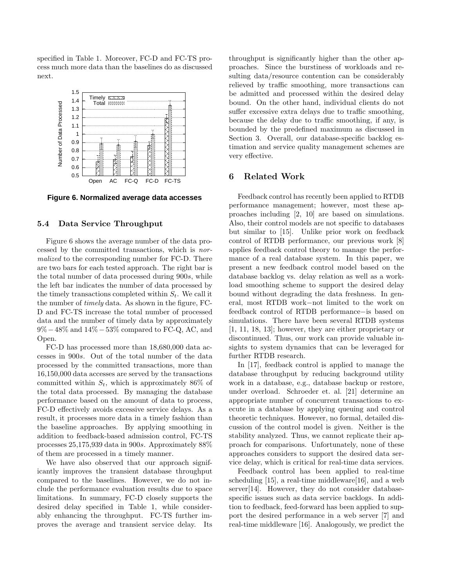specified in Table 1. Moreover, FC-D and FC-TS process much more data than the baselines do as discussed next.



**Figure 6. Normalized average data accesses**

### 5.4 Data Service Throughput

Figure 6 shows the average number of the data processed by the committed transactions, which is normalized to the corresponding number for FC-D. There are two bars for each tested approach. The right bar is the total number of data processed during 900s, while the left bar indicates the number of data processed by the timely transactions completed within  $S_t$ . We call it the number of timely data. As shown in the figure, FC-D and FC-TS increase the total number of processed data and the number of timely data by approximately 9%−48% and 14%−53% compared to FC-Q, AC, and Open.

FC-D has processed more than 18,680,000 data accesses in 900s. Out of the total number of the data processed by the committed transactions, more than 16,150,000 data accesses are served by the transactions committed within  $S_t$ , which is approximately 86% of the total data processed. By managing the database performance based on the amount of data to process, FC-D effectively avoids excessive service delays. As a result, it processes more data in a timely fashion than the baseline approaches. By applying smoothing in addition to feedback-based admission control, FC-TS processes 25,175,939 data in 900s. Approximately 88% of them are processed in a timely manner.

We have also observed that our approach significantly improves the transient database throughput compared to the baselines. However, we do not include the performance evaluation results due to space limitations. In summary, FC-D closely supports the desired delay specified in Table 1, while considerably enhancing the throughput. FC-TS further improves the average and transient service delay. Its throughput is significantly higher than the other approaches. Since the burstiness of workloads and resulting data/resource contention can be considerably relieved by traffic smoothing, more transactions can be admitted and processed within the desired delay bound. On the other hand, individual clients do not suffer excessive extra delays due to traffic smoothing, because the delay due to traffic smoothing, if any, is bounded by the predefined maximum as discussed in Section 3. Overall, our database-specific backlog estimation and service quality management schemes are very effective.

### 6 Related Work

Feedback control has recently been applied to RTDB performance management; however, most these approaches including [2, 10] are based on simulations. Also, their control models are not specific to databases but similar to [15]. Unlike prior work on feedback control of RTDB performance, our previous work [8] applies feedback control theory to manage the performance of a real database system. In this paper, we present a new feedback control model based on the database backlog vs. delay relation as well as a workload smoothing scheme to support the desired delay bound without degrading the data freshness. In general, most RTDB work−not limited to the work on feedback control of RTDB performance−is based on simulations. There have been several RTDB systems [1, 11, 18, 13]; however, they are either proprietary or discontinued. Thus, our work can provide valuable insights to system dynamics that can be leveraged for further RTDB research.

In [17], feedback control is applied to manage the database throughput by reducing background utility work in a database, e.g., database backup or restore, under overload. Schroeder et. al. [21] determine an appropriate number of concurrent transactions to execute in a database by applying queuing and control theoretic techniques. However, no formal, detailed discussion of the control model is given. Neither is the stability analyzed. Thus, we cannot replicate their approach for comparisons. Unfortunately, none of these approaches considers to support the desired data service delay, which is critical for real-time data services.

Feedback control has been applied to real-time scheduling [15], a real-time middleware[16], and a web server[14]. However, they do not consider databasespecific issues such as data service backlogs. In addition to feedback, feed-forward has been applied to support the desired performance in a web server [7] and real-time middleware [16]. Analogously, we predict the